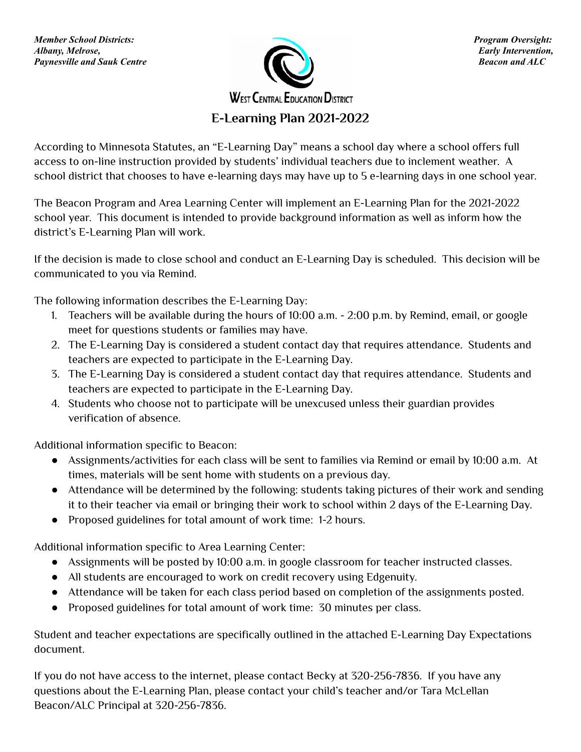

**E-Learning Plan 2021-2022**

According to Minnesota Statutes, an "E-Learning Day" means a school day where a school offers full access to on-line instruction provided by students' individual teachers due to inclement weather. A school district that chooses to have e-learning days may have up to 5 e-learning days in one school year.

The Beacon Program and Area Learning Center will implement an E-Learning Plan for the 2021-2022 school year. This document is intended to provide background information as well as inform how the district's E-Learning Plan will work.

If the decision is made to close school and conduct an E-Learning Day is scheduled. This decision will be communicated to you via Remind.

The following information describes the E-Learning Day:

- 1. Teachers will be available during the hours of 10:00 a.m. 2:00 p.m. by Remind, email, or google meet for questions students or families may have.
- 2. The E-Learning Day is considered a student contact day that requires attendance. Students and teachers are expected to participate in the E-Learning Day.
- 3. The E-Learning Day is considered a student contact day that requires attendance. Students and teachers are expected to participate in the E-Learning Day.
- 4. Students who choose not to participate will be unexcused unless their guardian provides verification of absence.

Additional information specific to Beacon:

- Assignments/activities for each class will be sent to families via Remind or email by 10:00 a.m. At times, materials will be sent home with students on a previous day.
- Attendance will be determined by the following: students taking pictures of their work and sending it to their teacher via email or bringing their work to school within 2 days of the E-Learning Day.
- Proposed guidelines for total amount of work time: 1-2 hours.

Additional information specific to Area Learning Center:

- Assignments will be posted by 10:00 a.m. in google classroom for teacher instructed classes.
- All students are encouraged to work on credit recovery using Edgenuity.
- Attendance will be taken for each class period based on completion of the assignments posted.
- Proposed guidelines for total amount of work time: 30 minutes per class.

Student and teacher expectations are specifically outlined in the attached E-Learning Day Expectations document.

If you do not have access to the internet, please contact Becky at 320-256-7836. If you have any questions about the E-Learning Plan, please contact your child's teacher and/or Tara McLellan Beacon/ALC Principal at 320-256-7836.